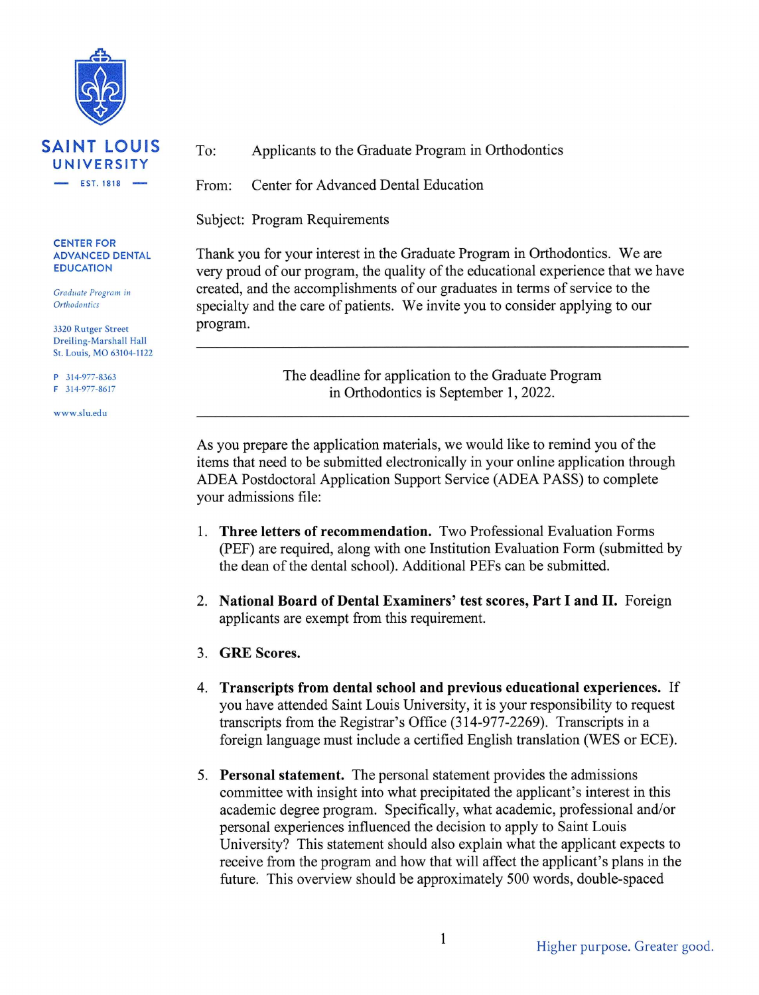

#### **CENTER FOR ADVANCED DENTAL EDUCATION**

Graduate Program in Orthodontics

3320 Rutger Street Dreiling-Marshall Hall St. Louis, MO 63104-1122

P 314-977-8363 F 314-977-8617

www.slu.edu

 $To:$ Applicants to the Graduate Program in Orthodontics

Center for Advanced Dental Education From:

Subject: Program Requirements

Thank you for your interest in the Graduate Program in Orthodontics. We are very proud of our program, the quality of the educational experience that we have created, and the accomplishments of our graduates in terms of service to the specialty and the care of patients. We invite you to consider applying to our program.

> The deadline for application to the Graduate Program in Orthodontics is September 1, 2022.

As you prepare the application materials, we would like to remind you of the items that need to be submitted electronically in your online application through ADEA Postdoctoral Application Support Service (ADEA PASS) to complete your admissions file:

- 1. Three letters of recommendation. Two Professional Evaluation Forms (PEF) are required, along with one Institution Evaluation Form (submitted by the dean of the dental school). Additional PEFs can be submitted.
- 2. National Board of Dental Examiners' test scores, Part I and II. Foreign applicants are exempt from this requirement.
- 3. GRE Scores.
- 4. Transcripts from dental school and previous educational experiences. If you have attended Saint Louis University, it is your responsibility to request transcripts from the Registrar's Office (314-977-2269). Transcripts in a foreign language must include a certified English translation (WES or ECE).
- 5. Personal statement. The personal statement provides the admissions committee with insight into what precipitated the applicant's interest in this academic degree program. Specifically, what academic, professional and/or personal experiences influenced the decision to apply to Saint Louis University? This statement should also explain what the applicant expects to receive from the program and how that will affect the applicant's plans in the future. This overview should be approximately 500 words, double-spaced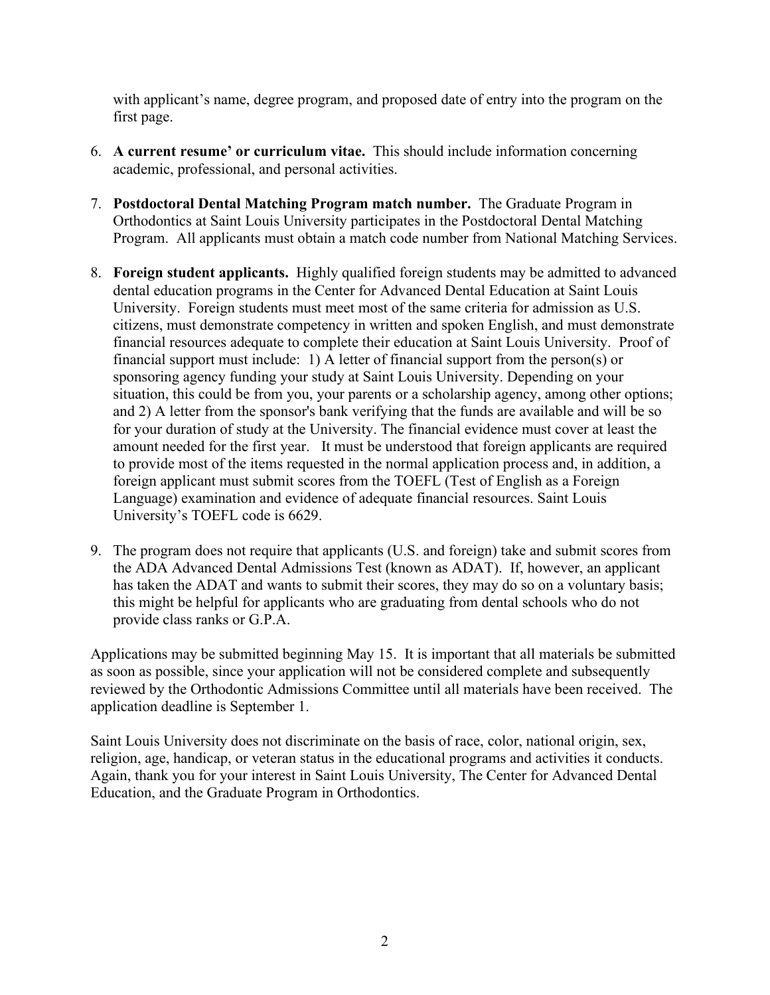with applicant's name, degree program, and proposed date of entry into the program on the first page.

- 6. **A current resume' or curriculum vitae.** This should include information concerning academic, professional, and personal activities.
- 7. **Postdoctoral Dental Matching Program match number.** The Graduate Program in Orthodontics at Saint Louis University participates in the Postdoctoral Dental Matching Program. All applicants must obtain a match code number from National Matching Services.
- 8. **Foreign student applicants.** Highly qualified foreign students may be admitted to advanced dental education programs in the Center for Advanced Dental Education at Saint Louis University. Foreign students must meet most of the same criteria for admission as U.S. citizens, must demonstrate competency in written and spoken English, and must demonstrate financial resources adequate to complete their education at Saint Louis University. Proof of financial support must include: 1) A letter of financial support from the person(s) or sponsoring agency funding your study at Saint Louis University. Depending on your situation, this could be from you, your parents or a scholarship agency, among other options; and 2) A letter from the sponsor's bank verifying that the funds are available and will be so for your duration of study at the University. The financial evidence must cover at least the amount needed for the first year. It must be understood that foreign applicants are required to provide most of the items requested in the normal application process and, in addition, a foreign applicant must submit scores from the TOEFL (Test of English as a Foreign Language) examination and evidence of adequate financial resources. Saint Louis University's TOEFL code is 6629.
- 9. The program does not require that applicants (U.S. and foreign) take and submit scores from the ADA Advanced Dental Admissions Test (known as ADAT). If, however, an applicant has taken the ADAT and wants to submit their scores, they may do so on a voluntary basis; this might be helpful for applicants who are graduating from dental schools who do not provide class ranks or G.P.A.

Applications may be submitted beginning May 15. It is important that all materials be submitted as soon as possible, since your application will not be considered complete and subsequently reviewed by the Orthodontic Admissions Committee until all materials have been received. The application deadline is September 1.

Saint Louis University does not discriminate on the basis of race, color, national origin, sex, religion, age, handicap, or veteran status in the educational programs and activities it conducts. Again, thank you for your interest in Saint Louis University, The Center for Advanced Dental Education, and the Graduate Program in Orthodontics.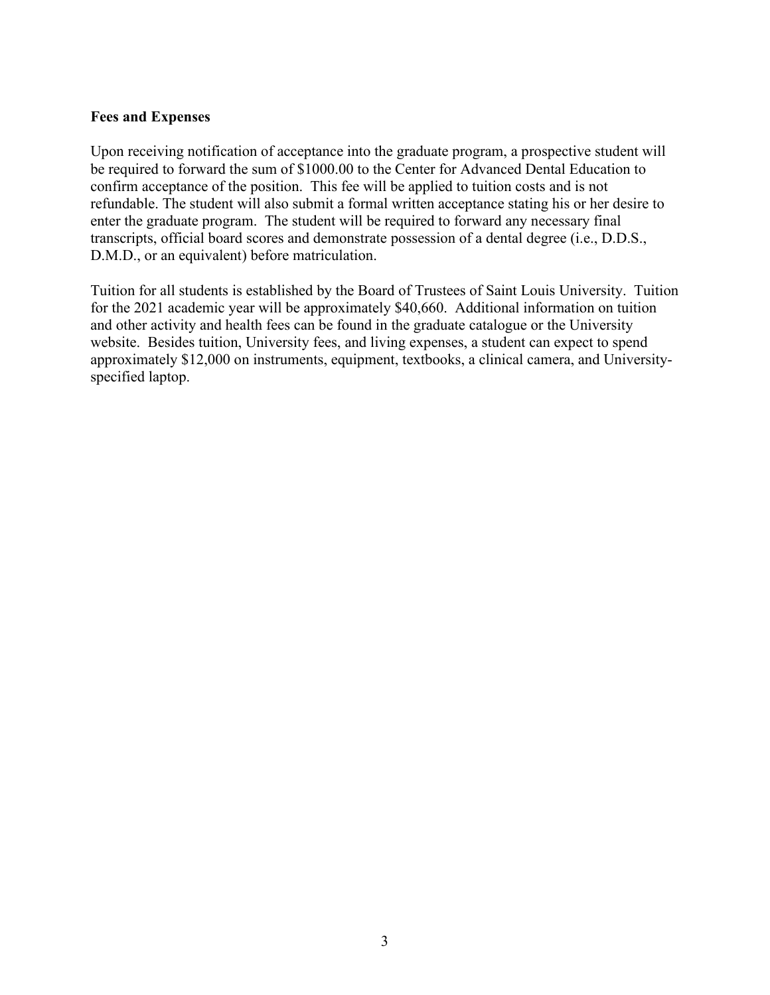#### **Fees and Expenses**

Upon receiving notification of acceptance into the graduate program, a prospective student will be required to forward the sum of \$1000.00 to the Center for Advanced Dental Education to confirm acceptance of the position. This fee will be applied to tuition costs and is not refundable. The student will also submit a formal written acceptance stating his or her desire to enter the graduate program. The student will be required to forward any necessary final transcripts, official board scores and demonstrate possession of a dental degree (i.e., D.D.S., D.M.D., or an equivalent) before matriculation.

Tuition for all students is established by the Board of Trustees of Saint Louis University. Tuition for the 2021 academic year will be approximately \$40,660. Additional information on tuition and other activity and health fees can be found in the graduate catalogue or the University website. Besides tuition, University fees, and living expenses, a student can expect to spend approximately \$12,000 on instruments, equipment, textbooks, a clinical camera, and Universityspecified laptop.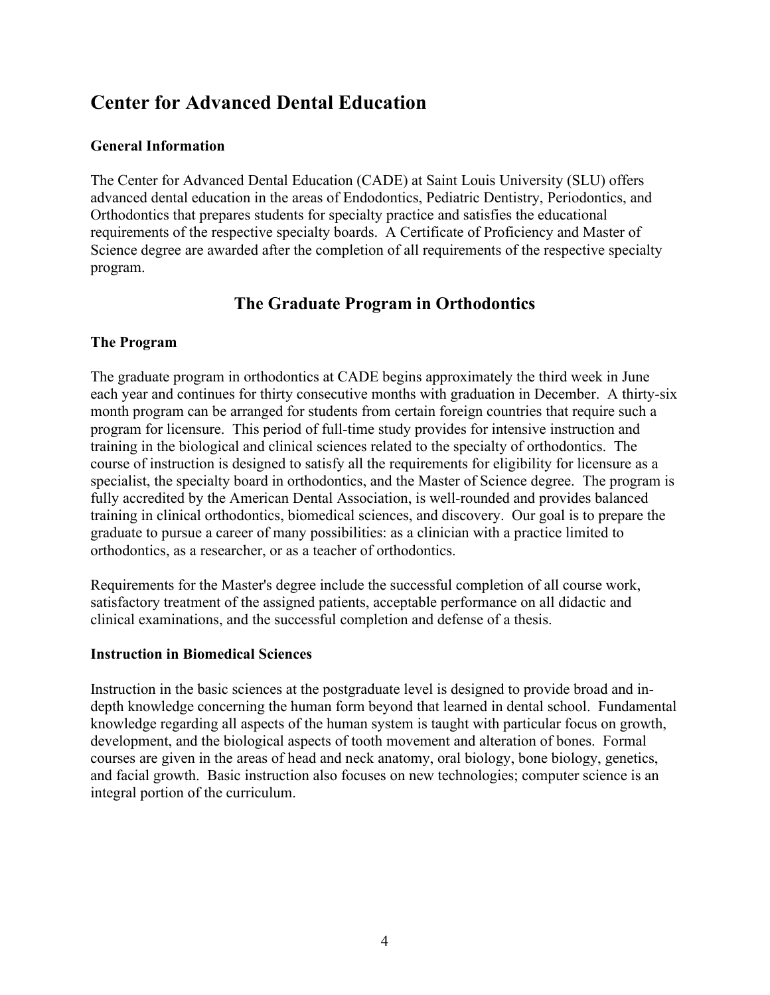# **Center for Advanced Dental Education**

### **General Information**

The Center for Advanced Dental Education (CADE) at Saint Louis University (SLU) offers advanced dental education in the areas of Endodontics, Pediatric Dentistry, Periodontics, and Orthodontics that prepares students for specialty practice and satisfies the educational requirements of the respective specialty boards. A Certificate of Proficiency and Master of Science degree are awarded after the completion of all requirements of the respective specialty program.

## **The Graduate Program in Orthodontics**

### **The Program**

The graduate program in orthodontics at CADE begins approximately the third week in June each year and continues for thirty consecutive months with graduation in December. A thirty-six month program can be arranged for students from certain foreign countries that require such a program for licensure. This period of full-time study provides for intensive instruction and training in the biological and clinical sciences related to the specialty of orthodontics. The course of instruction is designed to satisfy all the requirements for eligibility for licensure as a specialist, the specialty board in orthodontics, and the Master of Science degree. The program is fully accredited by the American Dental Association, is well-rounded and provides balanced training in clinical orthodontics, biomedical sciences, and discovery. Our goal is to prepare the graduate to pursue a career of many possibilities: as a clinician with a practice limited to orthodontics, as a researcher, or as a teacher of orthodontics.

Requirements for the Master's degree include the successful completion of all course work, satisfactory treatment of the assigned patients, acceptable performance on all didactic and clinical examinations, and the successful completion and defense of a thesis.

#### **Instruction in Biomedical Sciences**

Instruction in the basic sciences at the postgraduate level is designed to provide broad and indepth knowledge concerning the human form beyond that learned in dental school. Fundamental knowledge regarding all aspects of the human system is taught with particular focus on growth, development, and the biological aspects of tooth movement and alteration of bones. Formal courses are given in the areas of head and neck anatomy, oral biology, bone biology, genetics, and facial growth. Basic instruction also focuses on new technologies; computer science is an integral portion of the curriculum.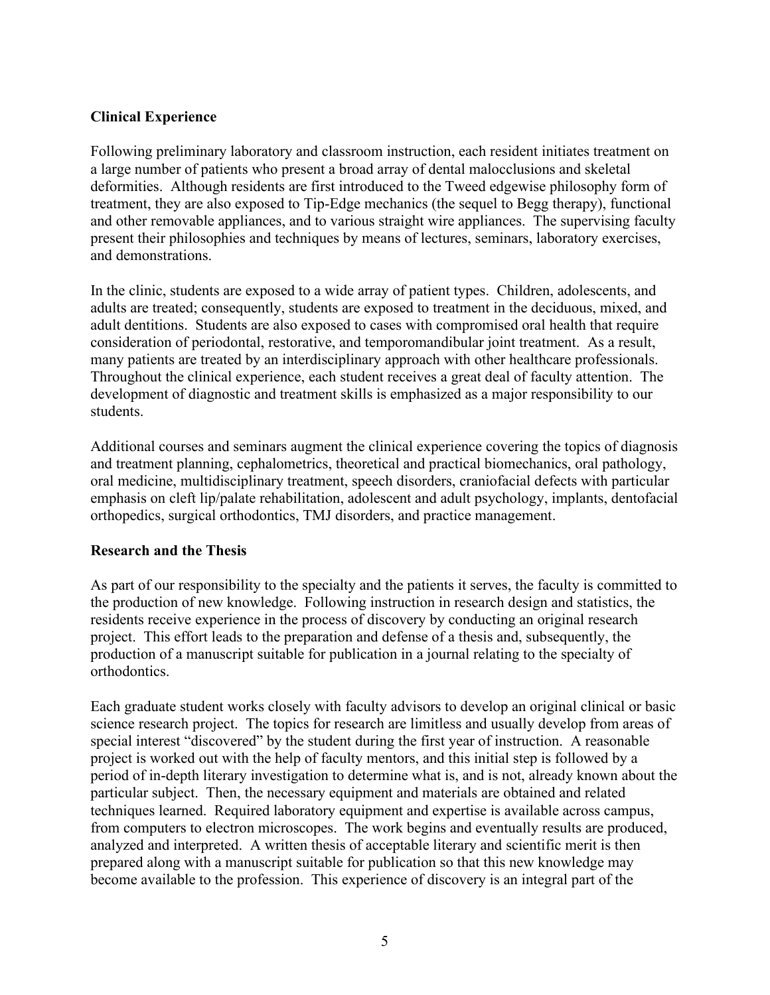#### **Clinical Experience**

Following preliminary laboratory and classroom instruction, each resident initiates treatment on a large number of patients who present a broad array of dental malocclusions and skeletal deformities. Although residents are first introduced to the Tweed edgewise philosophy form of treatment, they are also exposed to Tip-Edge mechanics (the sequel to Begg therapy), functional and other removable appliances, and to various straight wire appliances. The supervising faculty present their philosophies and techniques by means of lectures, seminars, laboratory exercises, and demonstrations.

In the clinic, students are exposed to a wide array of patient types. Children, adolescents, and adults are treated; consequently, students are exposed to treatment in the deciduous, mixed, and adult dentitions. Students are also exposed to cases with compromised oral health that require consideration of periodontal, restorative, and temporomandibular joint treatment. As a result, many patients are treated by an interdisciplinary approach with other healthcare professionals. Throughout the clinical experience, each student receives a great deal of faculty attention. The development of diagnostic and treatment skills is emphasized as a major responsibility to our students.

Additional courses and seminars augment the clinical experience covering the topics of diagnosis and treatment planning, cephalometrics, theoretical and practical biomechanics, oral pathology, oral medicine, multidisciplinary treatment, speech disorders, craniofacial defects with particular emphasis on cleft lip/palate rehabilitation, adolescent and adult psychology, implants, dentofacial orthopedics, surgical orthodontics, TMJ disorders, and practice management.

#### **Research and the Thesis**

As part of our responsibility to the specialty and the patients it serves, the faculty is committed to the production of new knowledge. Following instruction in research design and statistics, the residents receive experience in the process of discovery by conducting an original research project. This effort leads to the preparation and defense of a thesis and, subsequently, the production of a manuscript suitable for publication in a journal relating to the specialty of orthodontics.

Each graduate student works closely with faculty advisors to develop an original clinical or basic science research project. The topics for research are limitless and usually develop from areas of special interest "discovered" by the student during the first year of instruction. A reasonable project is worked out with the help of faculty mentors, and this initial step is followed by a period of in-depth literary investigation to determine what is, and is not, already known about the particular subject. Then, the necessary equipment and materials are obtained and related techniques learned. Required laboratory equipment and expertise is available across campus, from computers to electron microscopes. The work begins and eventually results are produced, analyzed and interpreted. A written thesis of acceptable literary and scientific merit is then prepared along with a manuscript suitable for publication so that this new knowledge may become available to the profession. This experience of discovery is an integral part of the